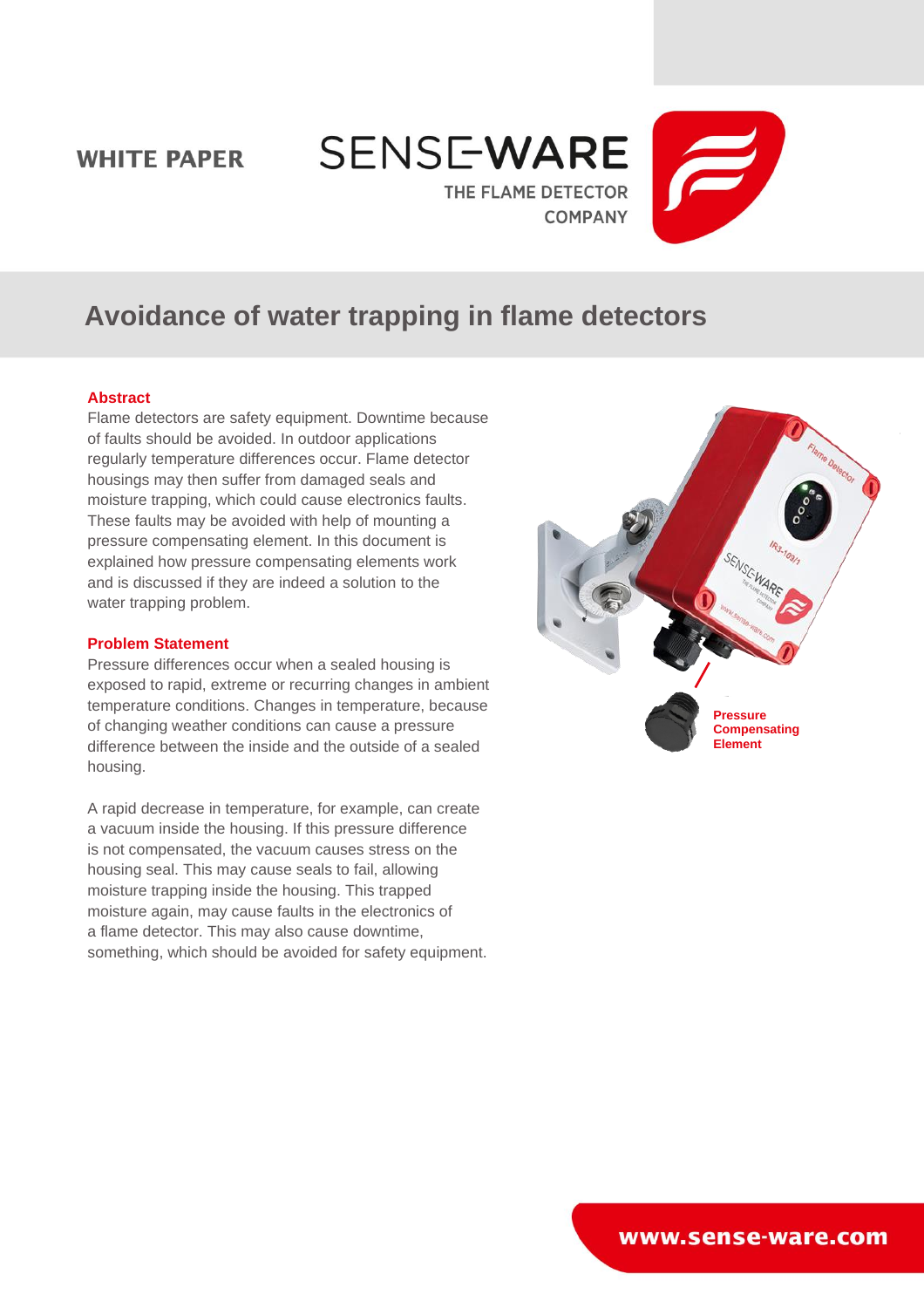# **WHITE PAPER**





# **Avoidance of water trapping in flame detectors**

# **Abstract**

Flame detectors are safety equipment. Downtime because of faults should be avoided. In outdoor applications regularly temperature differences occur. Flame detector housings may then suffer from damaged seals and moisture trapping, which could cause electronics faults. These faults may be avoided with help of mounting a pressure compensating element. In this document is explained how pressure compensating elements work and is discussed if they are indeed a solution to the water trapping problem.

# **Problem Statement**

Pressure differences occur when a sealed housing is exposed to rapid, extreme or recurring changes in ambient temperature conditions. Changes in temperature, because of changing weather conditions can cause a pressure difference between the inside and the outside of a sealed housing.

A rapid decrease in temperature, for example, can create a vacuum inside the housing. If this pressure difference is not compensated, the vacuum causes stress on the housing seal. This may cause seals to fail, allowing moisture trapping inside the housing. This trapped moisture again, may cause faults in the electronics of a flame detector. This may also cause downtime, something, which should be avoided for safety equipment.